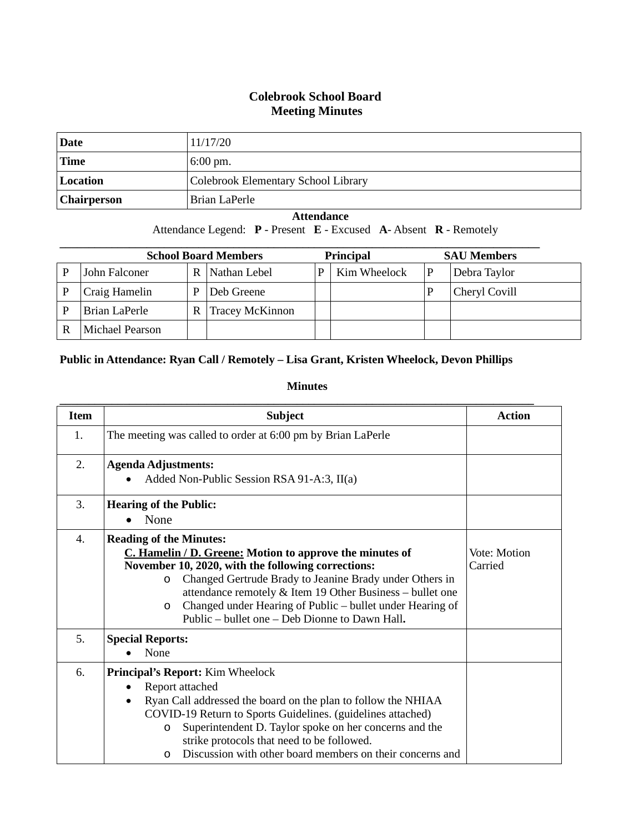#### **Colebrook School Board Meeting Minutes**

| Date               | 11/17/20                            |
|--------------------|-------------------------------------|
| <b>Time</b>        | $6:00 \text{ pm}$ .                 |
| Location           | Colebrook Elementary School Library |
| <b>Chairperson</b> | Brian LaPerle                       |

#### **Attendance**

Attendance Legend: **P** - Present **E** - Excused **A**- Absent **R** - Remotely

| <b>School Board Members</b> |                 |   |                        | <b>Principal</b> |              | <b>SAU Members</b> |
|-----------------------------|-----------------|---|------------------------|------------------|--------------|--------------------|
| P                           | John Falconer   | R | Nathan Lebel           |                  | Kim Wheelock | Debra Taylor       |
|                             | Craig Hamelin   |   | Deb Greene             |                  |              | Cheryl Covill      |
| P                           | Brian LaPerle   | R | <b>Tracey McKinnon</b> |                  |              |                    |
|                             | Michael Pearson |   |                        |                  |              |                    |

#### **Public in Attendance: Ryan Call / Remotely – Lisa Grant, Kristen Wheelock, Devon Phillips**

**Minutes**

| <b>Item</b> | <b>Subject</b>                                                                                                                                                                                                                                                                                                                                                                                                  | Action                  |
|-------------|-----------------------------------------------------------------------------------------------------------------------------------------------------------------------------------------------------------------------------------------------------------------------------------------------------------------------------------------------------------------------------------------------------------------|-------------------------|
| 1.          | The meeting was called to order at 6:00 pm by Brian LaPerle                                                                                                                                                                                                                                                                                                                                                     |                         |
| 2.          | <b>Agenda Adjustments:</b><br>Added Non-Public Session RSA 91-A:3, II(a)                                                                                                                                                                                                                                                                                                                                        |                         |
| 3.          | <b>Hearing of the Public:</b><br>None<br>$\bullet$                                                                                                                                                                                                                                                                                                                                                              |                         |
| 4.          | <b>Reading of the Minutes:</b><br>C. Hamelin / D. Greene: Motion to approve the minutes of<br>November 10, 2020, with the following corrections:<br>Changed Gertrude Brady to Jeanine Brady under Others in<br>$\circ$<br>attendance remotely & Item 19 Other Business – bullet one<br>Changed under Hearing of Public – bullet under Hearing of<br>$\circ$<br>Public – bullet one – Deb Dionne to Dawn Hall.   | Vote: Motion<br>Carried |
| 5.          | <b>Special Reports:</b><br>None                                                                                                                                                                                                                                                                                                                                                                                 |                         |
| 6.          | <b>Principal's Report:</b> Kim Wheelock<br>Report attached<br>$\bullet$<br>Ryan Call addressed the board on the plan to follow the NHIAA<br>$\bullet$<br>COVID-19 Return to Sports Guidelines. (guidelines attached)<br>Superintendent D. Taylor spoke on her concerns and the<br>$\circ$<br>strike protocols that need to be followed.<br>Discussion with other board members on their concerns and<br>$\circ$ |                         |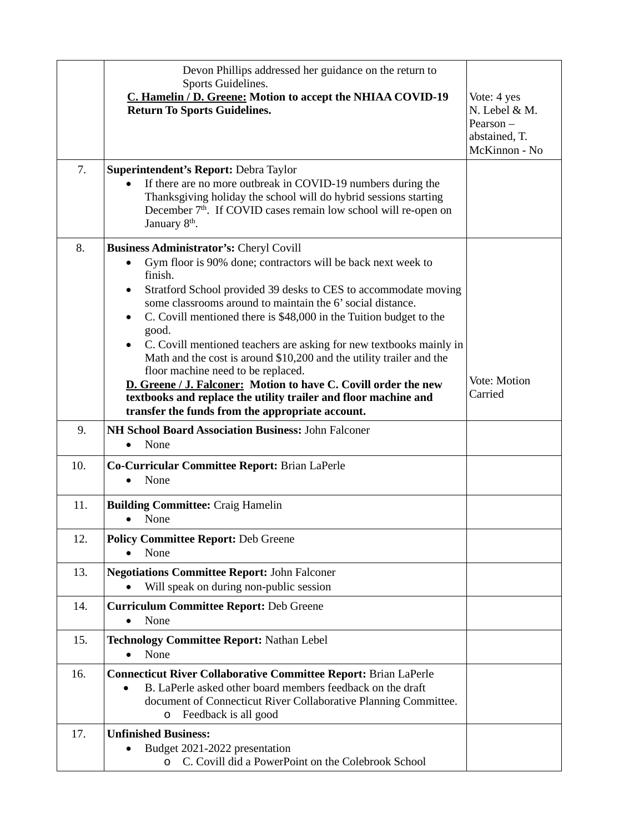|     | Devon Phillips addressed her guidance on the return to                                                                                                                                                                                       |                                                                            |
|-----|----------------------------------------------------------------------------------------------------------------------------------------------------------------------------------------------------------------------------------------------|----------------------------------------------------------------------------|
|     | Sports Guidelines.<br>C. Hamelin / D. Greene: Motion to accept the NHIAA COVID-19<br><b>Return To Sports Guidelines.</b>                                                                                                                     | Vote: 4 yes<br>N. Lebel & M.<br>Pearson-<br>abstained, T.<br>McKinnon - No |
| 7.  | Superintendent's Report: Debra Taylor                                                                                                                                                                                                        |                                                                            |
|     | If there are no more outbreak in COVID-19 numbers during the<br>Thanksgiving holiday the school will do hybrid sessions starting<br>December 7 <sup>th</sup> . If COVID cases remain low school will re-open on<br>January 8 <sup>th</sup> . |                                                                            |
| 8.  | <b>Business Administrator's: Cheryl Covill</b>                                                                                                                                                                                               |                                                                            |
|     | Gym floor is 90% done; contractors will be back next week to<br>finish.                                                                                                                                                                      |                                                                            |
|     | Stratford School provided 39 desks to CES to accommodate moving<br>$\bullet$                                                                                                                                                                 |                                                                            |
|     | some classrooms around to maintain the 6' social distance.                                                                                                                                                                                   |                                                                            |
|     | C. Covill mentioned there is \$48,000 in the Tuition budget to the<br>good.                                                                                                                                                                  |                                                                            |
|     | C. Covill mentioned teachers are asking for new textbooks mainly in                                                                                                                                                                          |                                                                            |
|     | Math and the cost is around \$10,200 and the utility trailer and the<br>floor machine need to be replaced.                                                                                                                                   |                                                                            |
|     | D. Greene / J. Falconer: Motion to have C. Covill order the new                                                                                                                                                                              | Vote: Motion<br>Carried                                                    |
|     | textbooks and replace the utility trailer and floor machine and<br>transfer the funds from the appropriate account.                                                                                                                          |                                                                            |
| 9.  | NH School Board Association Business: John Falconer<br>None                                                                                                                                                                                  |                                                                            |
| 10. | Co-Curricular Committee Report: Brian LaPerle<br>None<br>$\bullet$                                                                                                                                                                           |                                                                            |
| 11. | <b>Building Committee: Craig Hamelin</b><br>None                                                                                                                                                                                             |                                                                            |
| 12. | <b>Policy Committee Report: Deb Greene</b><br>None                                                                                                                                                                                           |                                                                            |
| 13. | <b>Negotiations Committee Report: John Falconer</b>                                                                                                                                                                                          |                                                                            |
|     | Will speak on during non-public session                                                                                                                                                                                                      |                                                                            |
| 14. | <b>Curriculum Committee Report: Deb Greene</b><br>None                                                                                                                                                                                       |                                                                            |
| 15. | Technology Committee Report: Nathan Lebel<br>None                                                                                                                                                                                            |                                                                            |
| 16. | <b>Connecticut River Collaborative Committee Report: Brian LaPerle</b><br>B. LaPerle asked other board members feedback on the draft                                                                                                         |                                                                            |
|     | document of Connecticut River Collaborative Planning Committee.<br>Feedback is all good<br>O                                                                                                                                                 |                                                                            |
| 17. | <b>Unfinished Business:</b>                                                                                                                                                                                                                  |                                                                            |
|     | Budget 2021-2022 presentation<br>C. Covill did a PowerPoint on the Colebrook School<br>O                                                                                                                                                     |                                                                            |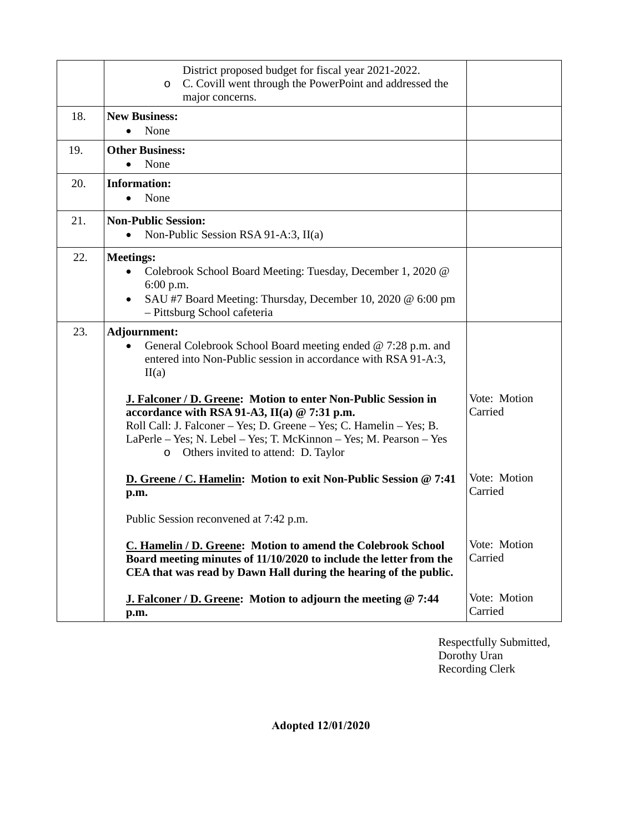|     | District proposed budget for fiscal year 2021-2022.<br>C. Covill went through the PowerPoint and addressed the<br>$\circ$<br>major concerns.                                                                                                                                                                  |                         |
|-----|---------------------------------------------------------------------------------------------------------------------------------------------------------------------------------------------------------------------------------------------------------------------------------------------------------------|-------------------------|
| 18. | <b>New Business:</b><br>None<br>$\bullet$                                                                                                                                                                                                                                                                     |                         |
| 19. | <b>Other Business:</b><br>None                                                                                                                                                                                                                                                                                |                         |
| 20. | <b>Information:</b><br>None                                                                                                                                                                                                                                                                                   |                         |
| 21. | <b>Non-Public Session:</b><br>Non-Public Session RSA 91-A:3, $II(a)$<br>$\bullet$                                                                                                                                                                                                                             |                         |
| 22. | <b>Meetings:</b><br>Colebrook School Board Meeting: Tuesday, December 1, 2020 @<br>$\bullet$<br>6:00 p.m.<br>SAU #7 Board Meeting: Thursday, December 10, 2020 @ 6:00 pm<br>$\bullet$<br>- Pittsburg School cafeteria                                                                                         |                         |
| 23. | Adjournment:<br>General Colebrook School Board meeting ended @ 7:28 p.m. and<br>$\bullet$<br>entered into Non-Public session in accordance with RSA 91-A:3,<br>II(a)                                                                                                                                          |                         |
|     | J. Falconer / D. Greene: Motion to enter Non-Public Session in<br>accordance with RSA 91-A3, II(a) @ 7:31 p.m.<br>Roll Call: J. Falconer - Yes; D. Greene - Yes; C. Hamelin - Yes; B.<br>LaPerle – Yes; N. Lebel – Yes; T. McKinnon – Yes; M. Pearson – Yes<br>Others invited to attend: D. Taylor<br>$\circ$ | Vote: Motion<br>Carried |
|     | D. Greene / C. Hamelin: Motion to exit Non-Public Session @ 7:41<br>p.m.                                                                                                                                                                                                                                      | Vote: Motion<br>Carried |
|     | Public Session reconvened at 7:42 p.m.                                                                                                                                                                                                                                                                        |                         |
|     | C. Hamelin / D. Greene: Motion to amend the Colebrook School<br>Board meeting minutes of 11/10/2020 to include the letter from the<br>CEA that was read by Dawn Hall during the hearing of the public.                                                                                                        | Vote: Motion<br>Carried |
|     | <b>J. Falconer / D. Greene: Motion to adjourn the meeting @ 7:44</b><br>p.m.                                                                                                                                                                                                                                  | Vote: Motion<br>Carried |

Respectfully Submitted, Dorothy Uran Recording Clerk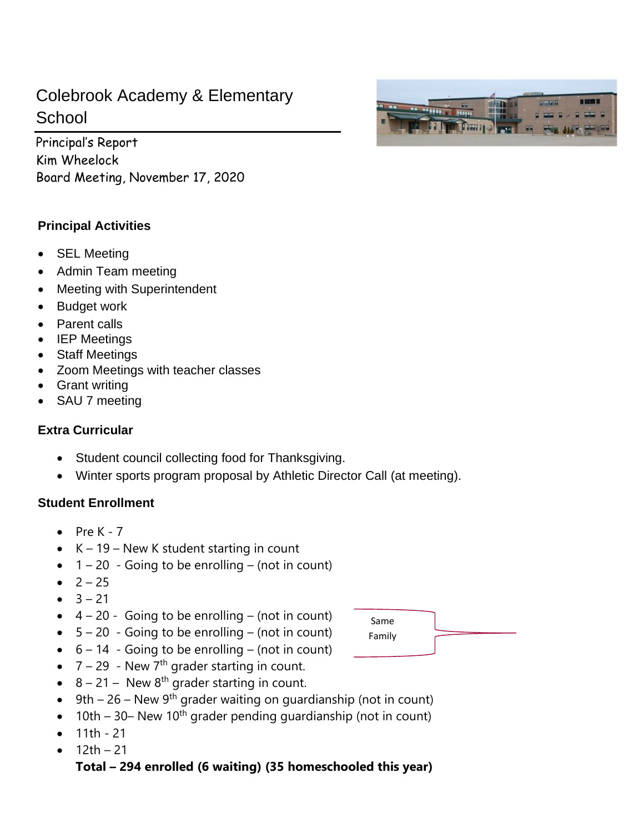# Colebrook Academy & Elementary **School**

Principal's Report Kim Wheelock Board Meeting, November 17, 2020

# **Principal Activities**

- SEL Meeting
- Admin Team meeting
- Meeting with Superintendent
- Budget work
- Parent calls
- IEP Meetings
- Staff Meetings
- Zoom Meetings with teacher classes
- Grant writing
- SAU 7 meeting

### **Extra Curricular**

- Student council collecting food for Thanksgiving.
- Winter sports program proposal by Athletic Director Call (at meeting).

### **Student Enrollment**

- $\bullet$  Pre K 7
- $\bullet$  K 19 New K student starting in count
- $\bullet$  1 20 Going to be enrolling (not in count)
- $2 25$
- $-3 21$
- $\bullet$  4 20 Going to be enrolling (not in count)
- $\bullet$  5 20 Going to be enrolling (not in count)
- $\bullet$  6 14 Going to be enrolling (not in count)
- $7 29$  New  $7<sup>th</sup>$  grader starting in count.
- $8 21 -$  New  $8<sup>th</sup>$  grader starting in count.
- 9th 26 New 9<sup>th</sup> grader waiting on guardianship (not in count)
- 10th 30– New 10<sup>th</sup> grader pending guardianship (not in count)
- 11th 21
- $12th 21$

# **Total – 294 enrolled (6 waiting) (35 homeschooled this year)**



Same Family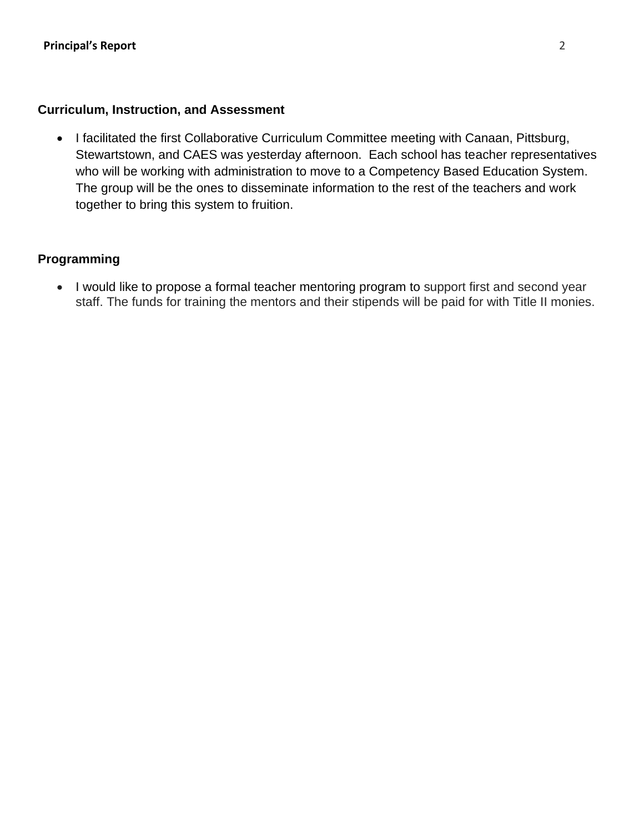### **Curriculum, Instruction, and Assessment**

• I facilitated the first Collaborative Curriculum Committee meeting with Canaan, Pittsburg, Stewartstown, and CAES was yesterday afternoon. Each school has teacher representatives who will be working with administration to move to a Competency Based Education System. The group will be the ones to disseminate information to the rest of the teachers and work together to bring this system to fruition.

### **Programming**

• I would like to propose a formal teacher mentoring program to support first and second year staff. The funds for training the mentors and their stipends will be paid for with Title II monies.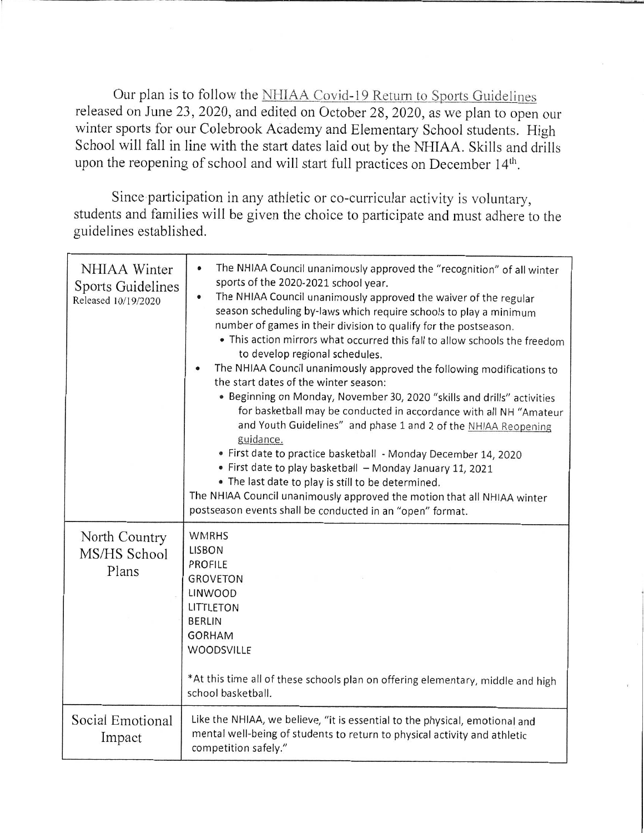Our plan is to follow the NHIAA Covid-19 Return to Sports Guidelines released on June 23, 2020, and edited on October 28, 2020, as we plan to open our winter sports for our Colebrook Academy and Elementary School students. High School will fall in line with the start dates laid out by the NHIAA. Skills and drills upon the reopening of school and will start full practices on December 14th.

Since participation in any athletic or co-curricular activity is voluntary, students and families will be given the choice to participate and must adhere to the guidelines established.

| NHIAA Winter<br><b>Sports Guidelines</b><br>Released 10/19/2020 | The NHIAA Council unanimously approved the "recognition" of all winter<br>$\bullet$<br>sports of the 2020-2021 school year.<br>The NHIAA Council unanimously approved the waiver of the regular<br>$\bullet$<br>season scheduling by-laws which require schools to play a minimum<br>number of games in their division to qualify for the postseason.<br>• This action mirrors what occurred this fall to allow schools the freedom<br>to develop regional schedules.<br>The NHIAA Council unanimously approved the following modifications to<br>the start dates of the winter season:<br>• Beginning on Monday, November 30, 2020 "skills and drills" activities<br>for basketball may be conducted in accordance with all NH "Amateur<br>and Youth Guidelines" and phase 1 and 2 of the NHIAA Reopening<br>guidance.<br>· First date to practice basketball - Monday December 14, 2020<br>• First date to play basketball - Monday January 11, 2021<br>. The last date to play is still to be determined.<br>The NHIAA Council unanimously approved the motion that all NHIAA winter<br>postseason events shall be conducted in an "open" format. |
|-----------------------------------------------------------------|------------------------------------------------------------------------------------------------------------------------------------------------------------------------------------------------------------------------------------------------------------------------------------------------------------------------------------------------------------------------------------------------------------------------------------------------------------------------------------------------------------------------------------------------------------------------------------------------------------------------------------------------------------------------------------------------------------------------------------------------------------------------------------------------------------------------------------------------------------------------------------------------------------------------------------------------------------------------------------------------------------------------------------------------------------------------------------------------------------------------------------------------------|
| North Country<br>MS/HS School<br>Plans                          | <b>WMRHS</b><br><b>LISBON</b><br><b>PROFILE</b><br><b>GROVETON</b><br>LINWOOD<br>LITTLETON<br><b>BERLIN</b><br><b>GORHAM</b><br>WOODSVILLE<br>*At this time all of these schools plan on offering elementary, middle and high<br>school basketball.                                                                                                                                                                                                                                                                                                                                                                                                                                                                                                                                                                                                                                                                                                                                                                                                                                                                                                  |
| Social Emotional<br>Impact                                      | Like the NHIAA, we believe, "it is essential to the physical, emotional and<br>mental well-being of students to return to physical activity and athletic<br>competition safely."                                                                                                                                                                                                                                                                                                                                                                                                                                                                                                                                                                                                                                                                                                                                                                                                                                                                                                                                                                     |